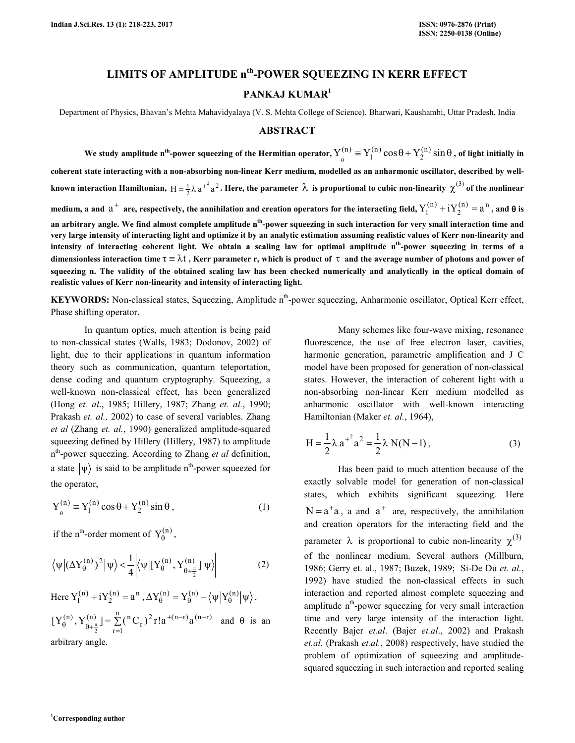# **LIMITS OF AMPLITUDE nth-POWER SQUEEZING IN KERR EFFECT PANKAJ KUMAR<sup>1</sup>**

Department of Physics, Bhavan's Mehta Mahavidyalaya (V. S. Mehta College of Science), Bharwari, Kaushambi, Uttar Pradesh, India

#### **ABSTRACT**

We study amplitude n<sup>th</sup>-power squeezing of the Hermitian operator,  $Y^{(n)}_\theta \equiv Y^{(n)}_1\cos\theta + Y^{(n)}_2\sin\theta$  $(n)$ 1  $\mathbf{Y}_1^{(n)} \equiv \mathbf{Y}_1^{(n)} \cos \theta + \mathbf{Y}_2^{(n)} \sin \theta$ , of light initially in **coherent state interacting with a non-absorbing non-linear Kerr medium, modelled as an anharmonic oscillator, described by well**known interaction Hamiltonian,  $H = \frac{1}{2}\lambda a^{2^2}$ . Here, the parameter  $\lambda$  is proportional to cubic non-linearity  $\chi^{(3)}$  of the nonlinear medium, a and  $a^+$  are, respectively, the annihilation and creation operators for the interacting field,  $Y^{(n)}_1 + i Y^{(n)}_2 = a^n$  $Y_1^{(n)} + iY_2^{(n)} = a^n$ , and  $\theta$  is **an arbitrary angle. We find almost complete amplitude nth-power squeezing in such interaction for very small interaction time and very large intensity of interacting light and optimize it by an analytic estimation assuming realistic values of Kerr non-linearity and intensity of interacting coherent light. We obtain a scaling law for optimal amplitude nth-power squeezing in terms of a dimensionless interaction time** τ ≡ λt **, Kerr parameter r, which is product of** τ **and the average number of photons and power of squeezing n. The validity of the obtained scaling law has been checked numerically and analytically in the optical domain of realistic values of Kerr non-linearity and intensity of interacting light.** 

**KEYWORDS:** Non-classical states, Squeezing, Amplitude n<sup>th</sup>-power squeezing, Anharmonic oscillator, Optical Kerr effect, Phase shifting operator.

 In quantum optics, much attention is being paid to non-classical states (Walls, 1983; Dodonov, 2002) of light, due to their applications in quantum information theory such as communication, quantum teleportation, dense coding and quantum cryptography. Squeezing, a well-known non-classical effect, has been generalized (Hong *et. al*., 1985; Hillery, 1987; Zhang *et. al.*, 1990; Prakash *et. al.,* 2002) to case of several variables. Zhang *et al* (Zhang *et. al.*, 1990) generalized amplitude-squared squeezing defined by Hillery (Hillery, 1987) to amplitude n th-power squeezing. According to Zhang *et al* definition, a state  $|\psi\rangle$  is said to be amplitude n<sup>th</sup>-power squeezed for the operator,

$$
Y_{\theta}^{(n)} \equiv Y_1^{(n)} \cos \theta + Y_2^{(n)} \sin \theta , \qquad (1)
$$

if the n<sup>th</sup>-order moment of  $Y_{\theta}^{(n)}$ ,

$$
\left\langle \psi \left| (\Delta Y^{(n)}_{\theta})^2 \right| \psi \right\rangle < \frac{1}{4} \left| \left\langle \psi \left| \left[ Y^{(n)}_{\theta}, Y^{(n)}_{\theta + \frac{\pi}{2}} \right] \right| \psi \right\rangle \right| \tag{2}
$$

Here  $Y_1^{(n)} + iY_2^{(n)} = a^n$  $Y_1^{(n)} + iY_2^{(n)} = a^n, \Delta Y_0^{(n)} = Y_0^{(n)} - \langle \psi | Y_0^{(n)} | \psi \rangle,$  $=$   $\Sigma$  $+(n-r)$ <sub>o</sub> $(n \theta \rightarrow \frac{1}{\theta + \frac{\pi}{2}}$ n  $[Y_{\theta}^{(n)}, Y_{\theta+\pi}^{(n)}] = \sum_{r=0}^{n} ({}^{n}C_{r})^{2} r! a^{+(n-r)} a^{(n-r)}$ and  $\theta$  is an

=  $r = 1$ 2 arbitrary angle.

Many schemes like four-wave mixing, resonance fluorescence, the use of free electron laser, cavities, harmonic generation, parametric amplification and J C model have been proposed for generation of non-classical states. However, the interaction of coherent light with a non-absorbing non-linear Kerr medium modelled as anharmonic oscillator with well-known interacting Hamiltonian (Maker *et. al.*, 1964),

$$
H = \frac{1}{2} \lambda a^{2} a^{2} = \frac{1}{2} \lambda N(N-1),
$$
 (3)

 Has been paid to much attention because of the exactly solvable model for generation of non-classical states, which exhibits significant squeezing. Here  $N = a^+a$ , a and  $a^+$  are, respectively, the annihilation and creation operators for the interacting field and the parameter  $\lambda$  is proportional to cubic non-linearity  $\chi^{(3)}$ of the nonlinear medium. Several authors (Millburn, 1986; Gerry et. al., 1987; Buzek, 1989; Si-De Du *et. al.*, 1992) have studied the non-classical effects in such interaction and reported almost complete squeezing and amplitude  $n<sup>th</sup>$ -power squeezing for very small interaction time and very large intensity of the interaction light. Recently Bajer *et.al*. (Bajer *et.al*., 2002) and Prakash *et.al.* (Prakash *et.al.*, 2008) respectively, have studied the problem of optimization of squeezing and amplitudesquared squeezing in such interaction and reported scaling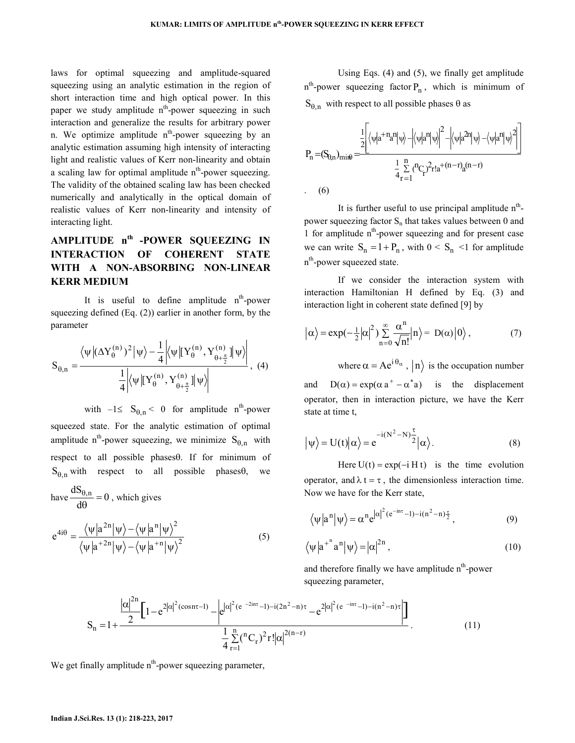laws for optimal squeezing and amplitude-squared squeezing using an analytic estimation in the region of short interaction time and high optical power. In this paper we study amplitude  $n<sup>th</sup>$ -power squeezing in such interaction and generalize the results for arbitrary power n. We optimize amplitude  $n^{th}$ -power squeezing by an analytic estimation assuming high intensity of interacting light and realistic values of Kerr non-linearity and obtain a scaling law for optimal amplitude  $n<sup>th</sup>$ -power squeezing. The validity of the obtained scaling law has been checked numerically and analytically in the optical domain of realistic values of Kerr non-linearity and intensity of interacting light.

# **AMPLITUDE nth -POWER SQUEEZING IN INTERACTION OF COHERENT STATE WITH A NON-ABSORBING NON-LINEAR KERR MEDIUM**

It is useful to define amplitude  $n<sup>th</sup>$ -power squeezing defined (Eq. (2)) earlier in another form, by the parameter

$$
S_{\theta,n}=\frac{\left\langle\psi\left|(\Delta Y^{(n)}_\theta)^2\right|\psi\right\rangle-\frac{1}{4}\left|\left\langle\psi\left|\left[Y^{(n)}_\theta,Y^{(n)}_{\theta+\frac{\pi}{2}}\right]\right|\psi\right\rangle\right|}{\frac{1}{4}\left|\left\langle\psi\left|\left[Y^{(n)}_\theta,Y^{(n)}_{\theta+\frac{\pi}{2}}\right]\right|\psi\right\rangle\right|},\,\,(4)
$$

with  $-1 \le S_{\theta, n} < 0$  for amplitude n<sup>th</sup>-power squeezed state. For the analytic estimation of optimal amplitude n<sup>th</sup>-power squeezing, we minimize  $S_{\theta,n}$  with respect to all possible phasesθ. If for minimum of  $S_{\theta,n}$  with respect to all possible phases $\theta$ , we

have 
$$
\frac{dS_{\theta,n}}{d\theta} = 0
$$
, which gives  
\n
$$
e^{4i\theta} = \frac{\langle \psi | a^{2n} | \psi \rangle - \langle \psi | a^{n} | \psi \rangle^{2}}{\langle \psi | a^{+2n} | \psi \rangle - \langle \psi | a^{+n} | \psi \rangle^{2}}
$$
\n(5)

 Using Eqs. (4) and (5), we finally get amplitude  $n<sup>th</sup>$ -power squeezing factor  $P_n$ , which is minimum of  $S_{\theta,n}$  with respect to all possible phases  $\theta$  as

$$
P_n = (S_{\theta,n})_{\text{min}\theta} = \frac{\frac{1}{2} \left[ \left\langle \psi | a^{+n} a^n | \psi \right\rangle - \left| \left\langle \psi | a^n | \psi \right\rangle^2 - \left| \left\langle \psi | a^{2n} | \psi \right\rangle - \left\langle \psi | a^n | \psi \right\rangle^2 \right| \right]}{\frac{1}{4} \sum\limits_{r=1}^n \binom{n}{r} 2r! a^{+(n-r)} a^{(n-r)}}
$$
\n(6)

It is further useful to use principal amplitude  $n<sup>th</sup>$ power squeezing factor  $S_n$  that takes values between 0 and 1 for amplitude  $n<sup>th</sup>$ -power squeezing and for present case we can write  $S_n = 1 + P_n$ , with  $0 \le S_n \le 1$  for amplitude n<sup>th</sup>-power squeezed state.

If we consider the interaction system with interaction Hamiltonian H defined by Eq. (3) and interaction light in coherent state defined [9] by

$$
|\alpha\rangle = \exp(-\frac{1}{2}|\alpha|^2) \sum_{n=0}^{\infty} \frac{\alpha^n}{\sqrt{n!}} |n\rangle = D(\alpha)|0\rangle, \qquad (7)
$$

where  $\alpha = Ae^{i\theta_{\alpha}}$ ,  $|n\rangle$  is the occupation number and  $D(\alpha) = \exp(\alpha a^+ - \alpha^* a)$  is the displacement operator, then in interaction picture, we have the Kerr state at time t.

$$
\left|\psi\right\rangle = U(t)\left|\alpha\right\rangle = e^{-i(N^2 - N)\frac{\tau}{2}}\left|\alpha\right\rangle.
$$
 (8)

Here  $U(t) = exp(-i H t)$  is the time evolution operator, and  $\lambda t = \tau$ , the dimensionless interaction time. Now we have for the Kerr state,

$$
\langle \psi | a^n | \psi \rangle = \alpha^n e^{|\alpha|^2 (e^{-in\tau} - 1) - i(n^2 - n)\frac{\tau}{2}}, \qquad (9)
$$

$$
\langle \psi | a^{+^n} a^n | \psi \rangle = |\alpha|^{2n}, \qquad (10)
$$

and therefore finally we have amplitude  $n<sup>th</sup>$ -power squeezing parameter,

$$
S_{n} = 1 + \frac{|\alpha|^{2n}}{2} \left[ 1 - e^{2|\alpha|^{2}(\cos n\tau - 1)} - \left| e^{|\alpha|^{2}(e^{-2in\tau} - 1) - i(2n^{2} - n)\tau} - e^{2|\alpha|^{2}(e^{-in\tau} - 1) - i(n^{2} - n)\tau} \right| \right] \frac{1}{4} \sum_{r=1}^{n} {\binom{n_{\text{C}}}{r}}^{2(r-1)}.
$$
\n(11)

We get finally amplitude  $n<sup>th</sup>$ -power squeezing parameter,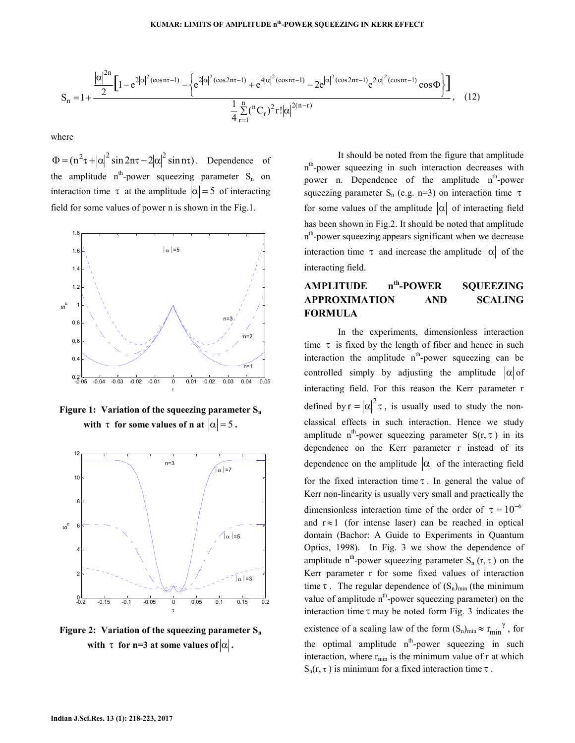$$
S_n = 1 + \frac{|\alpha|^{2n}}{2} \left[ 1 - e^{2|\alpha|^2 (\cos n\tau - 1)} - \left\{ e^{2|\alpha|^2 (\cos 2n\tau - 1)} + e^{4|\alpha|^2 (\cos n\tau - 1)} - 2e^{|\alpha|^2 (\cos 2n\tau - 1)} e^{2|\alpha|^2 (\cos n\tau - 1)} \cos \Phi \right\} \right], \quad (12)
$$

where

 $\Phi = (\mathbf{n}^2 \tau + |\alpha|^2 \sin 2\mathbf{n} \tau - 2|\alpha|^2 \sin \mathbf{n} \tau)$ . Dependence of the amplitude  $n^{th}$ -power squeezing parameter  $S_n$  on interaction time  $\tau$  at the amplitude  $|\alpha| = 5$  of interacting field for some values of power n is shown in the Fig.1.



**Figure 1: Variation of the squeezing parameter S<sup>n</sup> with**  $\tau$  for some values of n at  $|\alpha| = 5$ .



**Figure 2: Variation of the squeezing parameter S<sup>n</sup>** with  $\tau$  for n=3 at some values of  $|\alpha|$ .

 It should be noted from the figure that amplitude n<sup>th</sup>-power squeezing in such interaction decreases with power n. Dependence of the amplitude  $n^{th}$ -power squeezing parameter S<sub>n</sub> (e.g. n=3) on interaction time  $\tau$ for some values of the amplitude  $|\alpha|$  of interacting field has been shown in Fig.2. It should be noted that amplitude n<sup>th</sup>-power squeezing appears significant when we decrease interaction time  $\tau$  and increase the amplitude  $|\alpha|$  of the interacting field.

# **AMPLITUDE nth-POWER SQUEEZING APPROXIMATION AND SCALING FORMULA**

In the experiments, dimensionless interaction time  $\tau$  is fixed by the length of fiber and hence in such interaction the amplitude  $n<sup>th</sup>$ -power squeezing can be controlled simply by adjusting the amplitude  $|\alpha|$  of interacting field. For this reason the Kerr parameter r defined by  $r = |\alpha|^2 \tau$ , is usually used to study the nonclassical effects in such interaction. Hence we study amplitude n<sup>th</sup>-power squeezing parameter  $S(r, \tau)$  in its dependence on the Kerr parameter r instead of its dependence on the amplitude  $|\alpha|$  of the interacting field for the fixed interaction time  $\tau$ . In general the value of Kerr non-linearity is usually very small and practically the dimensionless interaction time of the order of  $\tau = 10^{-6}$ and  $r \approx 1$  (for intense laser) can be reached in optical domain (Bachor: A Guide to Experiments in Quantum Optics, 1998). In Fig. 3 we show the dependence of amplitude n<sup>th</sup>-power squeezing parameter  $S_n(r, \tau)$  on the Kerr parameter r for some fixed values of interaction time  $\tau$ . The regular dependence of  $(S_n)_{\text{min}}$  (the minimum value of amplitude  $n<sup>th</sup>$ -power squeezing parameter) on the interaction time  $\tau$  may be noted form Fig. 3 indicates the existence of a scaling law of the form  $(S_n)_{\text{min}} \approx r_{\text{min}}^{\gamma}$ , for the optimal amplitude n<sup>th</sup>-power squeezing in such interaction, where  $r_{min}$  is the minimum value of r at which  $S_n(r, \tau)$  is minimum for a fixed interaction time  $\tau$ .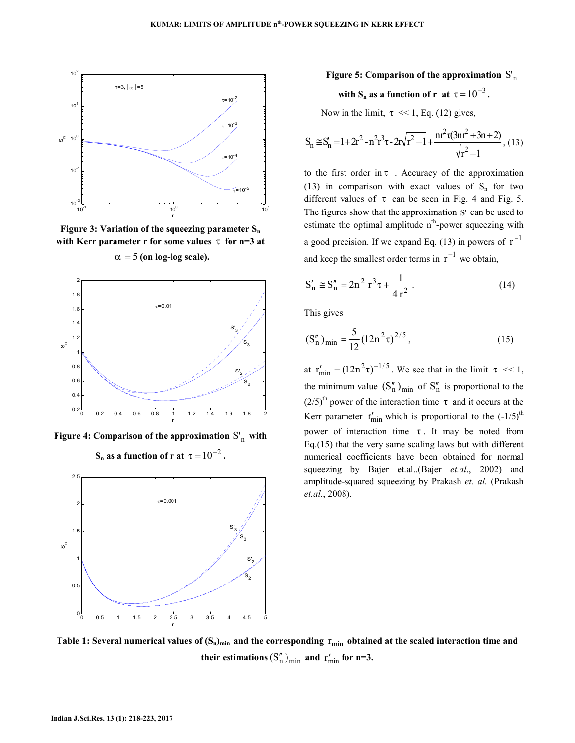

**Figure 3: Variation of the squeezing parameter S<sup>n</sup> with Kerr parameter r for some values** τ **for n=3 at**   $|\alpha|$  = 5 (on log-log scale).



Figure 4: Comparison of the approximation  $S'_n$  with



## Figure 5: Comparison of the approximation  $S'_\mathrm{n}$

# with  $S_n$  as a function of r at  $\tau = 10^{-3}$ .

Now in the limit,  $\tau \ll 1$ , Eq. (12) gives,

$$
S_n \cong S_n' = 1 + 2r^2 - n^2r^3\tau - 2r\sqrt{r^2 + 1} + \frac{nr^2\tau(3nr^2 + 3n + 2)}{\sqrt{r^2 + 1}},
$$
(13)

to the first order in  $\tau$ . Accuracy of the approximation (13) in comparison with exact values of  $S_n$  for two different values of  $\tau$  can be seen in Fig. 4 and Fig. 5. The figures show that the approximation S' can be used to estimate the optimal amplitude  $n<sup>th</sup>$ -power squeezing with a good precision. If we expand Eq. (13) in powers of  $r^{-1}$ and keep the smallest order terms in  $r^{-1}$  we obtain,

$$
S'_n \cong S''_n = 2n^2 r^3 \tau + \frac{1}{4 r^2}.
$$
 (14)

This gives

$$
(S_n'')_{\min} = \frac{5}{12} (12n^2 \tau)^{2/5}, \qquad (15)
$$

at  $r'_{\text{min}} = (12n^2 \tau)^{-1/5}$ . We see that in the limit  $\tau \ll 1$ , the minimum value  $(S_n'')_{min}$  of  $S_n''$  is proportional to the  $(2/5)$ <sup>th</sup> power of the interaction time  $\tau$  and it occurs at the Kerr parameter  $r'_{\text{min}}$  which is proportional to the  $(-1/5)^{\text{th}}$ power of interaction time  $\tau$ . It may be noted from Eq.(15) that the very same scaling laws but with different numerical coefficients have been obtained for normal squeezing by Bajer et.al..(Bajer *et.al*., 2002) and amplitude-squared squeezing by Prakash *et. al.* (Prakash *et.al.*, 2008).

**Table 1:** Several numerical values of  $(S_n)_{\text{min}}$  and the corresponding  $r_{\text{min}}$  obtained at the scaled interaction time and **their estimations**  $(S_n'')_{\text{min}}$  and  $r'_{\text{min}}$  for n=3.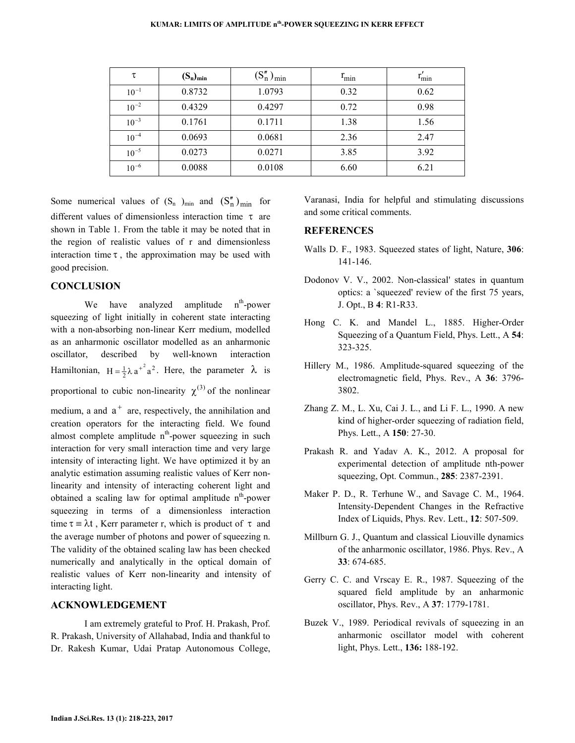| τ         | $(S_n)_{min}$ | $(S_n'')_{\min}$ | $r_{\min}$ | $r_{\min}'$ |
|-----------|---------------|------------------|------------|-------------|
| $10^{-1}$ | 0.8732        | 1.0793           | 0.32       | 0.62        |
| $10^{-2}$ | 0.4329        | 0.4297           | 0.72       | 0.98        |
| $10^{-3}$ | 0.1761        | 0.1711           | 1.38       | 1.56        |
| $10^{-4}$ | 0.0693        | 0.0681           | 2.36       | 2.47        |
| $10^{-5}$ | 0.0273        | 0.0271           | 3.85       | 3.92        |
| $10^{-6}$ | 0.0088        | 0.0108           | 6.60       | 6.21        |

Some numerical values of  $(S_n)_{min}$  and  $(S_n'')_{min}$  for different values of dimensionless interaction time τ are shown in Table 1. From the table it may be noted that in the region of realistic values of r and dimensionless interaction time  $\tau$ , the approximation may be used with good precision.

## **CONCLUSION**

We have analyzed amplitude  $n<sup>th</sup>$ -power squeezing of light initially in coherent state interacting with a non-absorbing non-linear Kerr medium, modelled as an anharmonic oscillator modelled as an anharmonic oscillator, described by well-known interaction Hamiltonian,  $H = \frac{1}{2}\lambda a^{2^2}$ . Here, the parameter  $\lambda$  is proportional to cubic non-linearity  $\chi^{(3)}$  of the nonlinear medium, a and  $a^+$  are, respectively, the annihilation and creation operators for the interacting field. We found almost complete amplitude  $n<sup>th</sup>$ -power squeezing in such interaction for very small interaction time and very large intensity of interacting light. We have optimized it by an analytic estimation assuming realistic values of Kerr nonlinearity and intensity of interacting coherent light and obtained a scaling law for optimal amplitude  $n<sup>th</sup>$ -power squeezing in terms of a dimensionless interaction

time  $\tau = \lambda t$ , Kerr parameter r, which is product of  $\tau$  and the average number of photons and power of squeezing n. The validity of the obtained scaling law has been checked numerically and analytically in the optical domain of realistic values of Kerr non-linearity and intensity of interacting light.

### **ACKNOWLEDGEMENT**

 I am extremely grateful to Prof. H. Prakash, Prof. R. Prakash, University of Allahabad, India and thankful to Dr. Rakesh Kumar, Udai Pratap Autonomous College, Varanasi, India for helpful and stimulating discussions and some critical comments.

## **REFERENCES**

- Walls D. F., 1983. Squeezed states of light, Nature, **306**: 141-146.
- Dodonov V. V., 2002. Non-classical' states in quantum optics: a `squeezed' review of the first 75 years, J. Opt., B **4**: R1-R33.
- Hong C. K. and Mandel L., 1885. Higher-Order Squeezing of a Quantum Field, Phys. Lett., A **54**: 323-325.
- Hillery M., 1986. Amplitude-squared squeezing of the electromagnetic field, Phys. Rev., A **36**: 3796- 3802.
- Zhang Z. M., L. Xu, Cai J. L., and Li F. L., 1990. A new kind of higher-order squeezing of radiation field, Phys. Lett., A **150**: 27-30.
- Prakash R. and Yadav A. K., 2012. A proposal for experimental detection of amplitude nth-power squeezing, Opt. Commun., **285**: 2387-2391.
- Maker P. D., R. Terhune W., and Savage C. M., 1964. Intensity-Dependent Changes in the Refractive Index of Liquids, Phys. Rev. Lett., **12**: 507-509.
- Millburn G. J., Quantum and classical Liouville dynamics of the anharmonic oscillator, 1986. Phys. Rev., A **33**: 674-685.
- Gerry C. C. and Vrscay E. R., 1987. Squeezing of the squared field amplitude by an anharmonic oscillator, Phys. Rev., A **37**: 1779-1781.
- Buzek V., 1989. Periodical revivals of squeezing in an anharmonic oscillator model with coherent light, Phys. Lett., **136:** 188-192.